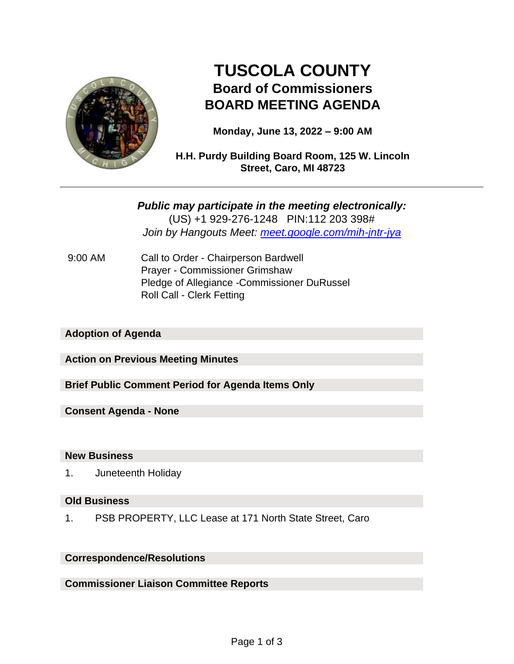

# **TUSCOLA COUNTY Board of Commissioners BOARD MEETING AGENDA**

**Monday, June 13, 2022 – 9:00 AM**

**H.H. Purdy Building Board Room, 125 W. Lincoln Street, Caro, MI 48723**

*Public may participate in the meeting electronically:* (US) +1 929-276-1248 PIN:112 203 398# *Join by Hangouts Meet: meet.google.com/mih-jntr-jya*

9:00 AM Call to Order - Chairperson Bardwell Prayer - Commissioner Grimshaw Pledge of Allegiance -Commissioner DuRussel Roll Call - Clerk Fetting

## **Adoption of Agenda**

**Action on Previous Meeting Minutes**

**Brief Public Comment Period for Agenda Items Only**

**Consent Agenda - None**

#### **New Business**

1. Juneteenth Holiday

#### **Old Business**

1. PSB PROPERTY, LLC Lease at 171 North State Street, Caro

## **Correspondence/Resolutions**

**Commissioner Liaison Committee Reports**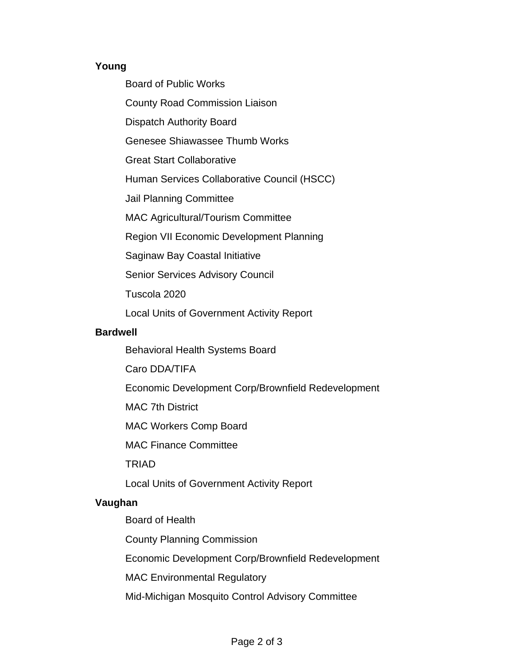## **Young**

Board of Public Works

County Road Commission Liaison

Dispatch Authority Board

Genesee Shiawassee Thumb Works

Great Start Collaborative

Human Services Collaborative Council (HSCC)

Jail Planning Committee

MAC Agricultural/Tourism Committee

Region VII Economic Development Planning

Saginaw Bay Coastal Initiative

Senior Services Advisory Council

Tuscola 2020

Local Units of Government Activity Report

## **Bardwell**

Behavioral Health Systems Board

Caro DDA/TIFA

Economic Development Corp/Brownfield Redevelopment

MAC 7th District

MAC Workers Comp Board

MAC Finance Committee

TRIAD

Local Units of Government Activity Report

# **Vaughan**

Board of Health

County Planning Commission

Economic Development Corp/Brownfield Redevelopment

MAC Environmental Regulatory

Mid-Michigan Mosquito Control Advisory Committee